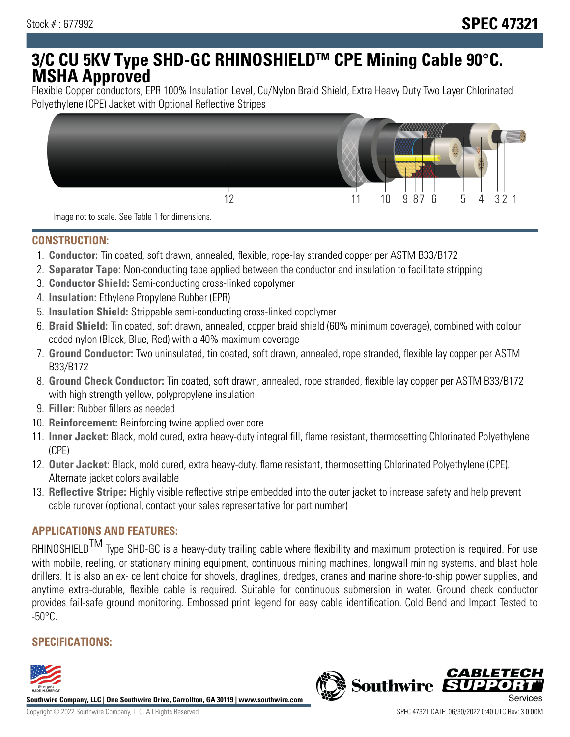# **3/C CU 5KV Type SHD-GC RHINOSHIELDTM CPE Mining Cable 90°C. MSHA Approved**

Flexible Copper conductors, EPR 100% Insulation Level, Cu/Nylon Braid Shield, Extra Heavy Duty Two Layer Chlorinated Polyethylene (CPE) Jacket with Optional Reflective Stripes



Image not to scale. See Table 1 for dimensions.

#### **CONSTRUCTION:**

- 1. **Conductor:** Tin coated, soft drawn, annealed, flexible, rope-lay stranded copper per ASTM B33/B172
- 2. **Separator Tape:** Non-conducting tape applied between the conductor and insulation to facilitate stripping
- 3. **Conductor Shield:** Semi-conducting cross-linked copolymer
- 4. **Insulation:** Ethylene Propylene Rubber (EPR)
- 5. **Insulation Shield:** Strippable semi-conducting cross-linked copolymer
- 6. **Braid Shield:** Tin coated, soft drawn, annealed, copper braid shield (60% minimum coverage), combined with colour coded nylon (Black, Blue, Red) with a 40% maximum coverage
- 7. **Ground Conductor:** Two uninsulated, tin coated, soft drawn, annealed, rope stranded, flexible lay copper per ASTM B33/B172
- 8. **Ground Check Conductor:** Tin coated, soft drawn, annealed, rope stranded, flexible lay copper per ASTM B33/B172 with high strength yellow, polypropylene insulation
- 9. **Filler:** Rubber fillers as needed
- 10. **Reinforcement:** Reinforcing twine applied over core
- 11. **Inner Jacket:** Black, mold cured, extra heavy-duty integral fill, flame resistant, thermosetting Chlorinated Polyethylene (CPE)
- 12. **Outer Jacket:** Black, mold cured, extra heavy-duty, flame resistant, thermosetting Chlorinated Polyethylene (CPE). Alternate jacket colors available
- 13. **Reflective Stripe:** Highly visible reflective stripe embedded into the outer jacket to increase safety and help prevent cable runover (optional, contact your sales representative for part number)

## **APPLICATIONS AND FEATURES:**

RHINOSHIELD<sup>TM</sup> Type SHD-GC is a heavy-duty trailing cable where flexibility and maximum protection is required. For use with mobile, reeling, or stationary mining equipment, continuous mining machines, longwall mining systems, and blast hole drillers. It is also an ex- cellent choice for shovels, draglines, dredges, cranes and marine shore-to-ship power supplies, and anytime extra-durable, flexible cable is required. Suitable for continuous submersion in water. Ground check conductor provides fail-safe ground monitoring. Embossed print legend for easy cable identification. Cold Bend and Impact Tested to  $-50^{\circ}$ C.

# **SPECIFICATIONS:**



**Southwire Company, LLC | One Southwire Drive, Carrollton, GA 30119 | www.southwire.com**

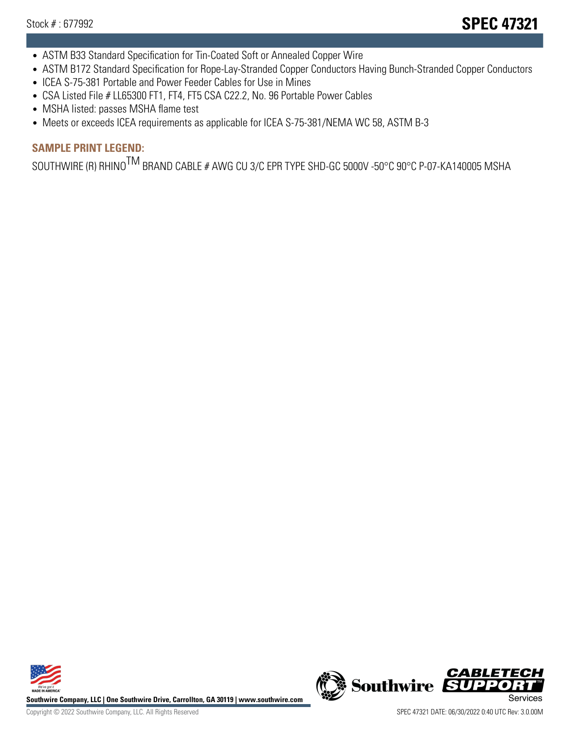- ASTM B33 Standard Specification for Tin-Coated Soft or Annealed Copper Wire
- ASTM B172 Standard Specification for Rope-Lay-Stranded Copper Conductors Having Bunch-Stranded Copper Conductors
- ICEA S-75-381 Portable and Power Feeder Cables for Use in Mines
- CSA Listed File # LL65300 FT1, FT4, FT5 CSA C22.2, No. 96 Portable Power Cables
- MSHA listed: passes MSHA flame test
- Meets or exceeds ICEA requirements as applicable for ICEA S-75-381/NEMA WC 58, ASTM B-3

# **SAMPLE PRINT LEGEND:**

SOUTHWIRE (R) RHINO<sup>TM</sup> BRAND CABLE # AWG CU 3/C EPR TYPE SHD-GC 5000V -50°C 90°C P-07-KA140005 MSHA